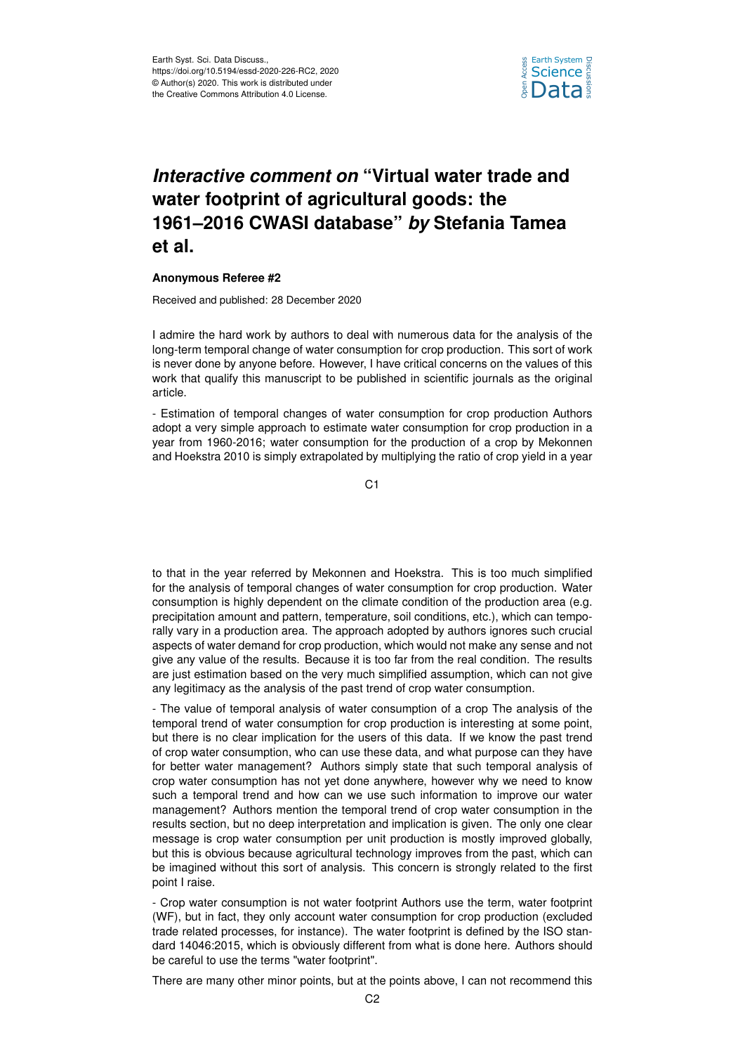

## *Interactive comment on* **"Virtual water trade and water footprint of agricultural goods: the 1961–2016 CWASI database"** *by* **Stefania Tamea et al.**

## **Anonymous Referee #2**

Received and published: 28 December 2020

I admire the hard work by authors to deal with numerous data for the analysis of the long-term temporal change of water consumption for crop production. This sort of work is never done by anyone before. However, I have critical concerns on the values of this work that qualify this manuscript to be published in scientific journals as the original article.

- Estimation of temporal changes of water consumption for crop production Authors adopt a very simple approach to estimate water consumption for crop production in a year from 1960-2016; water consumption for the production of a crop by Mekonnen and Hoekstra 2010 is simply extrapolated by multiplying the ratio of crop yield in a year

C1

to that in the year referred by Mekonnen and Hoekstra. This is too much simplified for the analysis of temporal changes of water consumption for crop production. Water consumption is highly dependent on the climate condition of the production area (e.g. precipitation amount and pattern, temperature, soil conditions, etc.), which can temporally vary in a production area. The approach adopted by authors ignores such crucial aspects of water demand for crop production, which would not make any sense and not give any value of the results. Because it is too far from the real condition. The results are just estimation based on the very much simplified assumption, which can not give any legitimacy as the analysis of the past trend of crop water consumption.

- The value of temporal analysis of water consumption of a crop The analysis of the temporal trend of water consumption for crop production is interesting at some point, but there is no clear implication for the users of this data. If we know the past trend of crop water consumption, who can use these data, and what purpose can they have for better water management? Authors simply state that such temporal analysis of crop water consumption has not yet done anywhere, however why we need to know such a temporal trend and how can we use such information to improve our water management? Authors mention the temporal trend of crop water consumption in the results section, but no deep interpretation and implication is given. The only one clear message is crop water consumption per unit production is mostly improved globally, but this is obvious because agricultural technology improves from the past, which can be imagined without this sort of analysis. This concern is strongly related to the first point I raise.

- Crop water consumption is not water footprint Authors use the term, water footprint (WF), but in fact, they only account water consumption for crop production (excluded trade related processes, for instance). The water footprint is defined by the ISO standard 14046:2015, which is obviously different from what is done here. Authors should be careful to use the terms "water footprint".

There are many other minor points, but at the points above, I can not recommend this